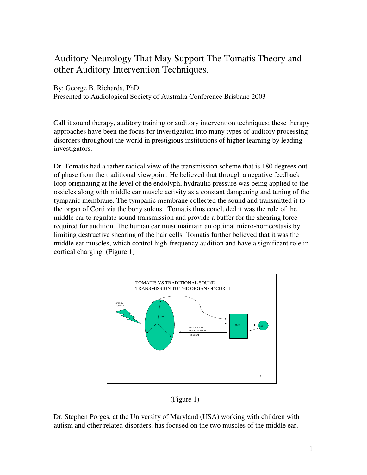## Auditory Neurology That May Support The Tomatis Theory and other Auditory Intervention Techniques.

By: George B. Richards, PhD

Presented to Audiological Society of Australia Conference Brisbane 2003

Call it sound therapy, auditory training or auditory intervention techniques; these therapy approaches have been the focus for investigation into many types of auditory processing disorders throughout the world in prestigious institutions of higher learning by leading investigators.

Dr. Tomatis had a rather radical view of the transmission scheme that is 180 degrees out of phase from the traditional viewpoint. He believed that through a negative feedback loop originating at the level of the endolyph, hydraulic pressure was being applied to the ossicles along with middle ear muscle activity as a constant dampening and tuning of the tympanic membrane. The tympanic membrane collected the sound and transmitted it to the organ of Corti via the bony sulcus. Tomatis thus concluded it was the role of the middle ear to regulate sound transmission and provide a buffer for the shearing force required for audition. The human ear must maintain an optimal micro-homeostasis by limiting destructive shearing of the hair cells. Tomatis further believed that it was the middle ear muscles, which control high-frequency audition and have a significant role in cortical charging. (Figure 1)



(Figure 1)

Dr. Stephen Porges, at the University of Maryland (USA) working with children with autism and other related disorders, has focused on the two muscles of the middle ear.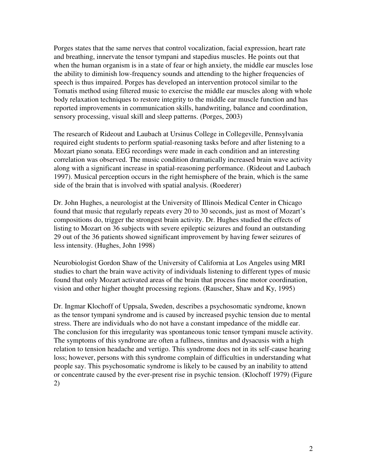Porges states that the same nerves that control vocalization, facial expression, heart rate and breathing, innervate the tensor tympani and stapedius muscles. He points out that when the human organism is in a state of fear or high anxiety, the middle ear muscles lose the ability to diminish low-frequency sounds and attending to the higher frequencies of speech is thus impaired. Porges has developed an intervention protocol similar to the Tomatis method using filtered music to exercise the middle ear muscles along with whole body relaxation techniques to restore integrity to the middle ear muscle function and has reported improvements in communication skills, handwriting, balance and coordination, sensory processing, visual skill and sleep patterns. (Porges, 2003)

The research of Rideout and Laubach at Ursinus College in Collegeville, Pennsylvania required eight students to perform spatial-reasoning tasks before and after listening to a Mozart piano sonata. EEG recordings were made in each condition and an interesting correlation was observed. The music condition dramatically increased brain wave activity along with a significant increase in spatial-reasoning performance. (Rideout and Laubach 1997). Musical perception occurs in the right hemisphere of the brain, which is the same side of the brain that is involved with spatial analysis. (Roederer)

Dr. John Hughes, a neurologist at the University of Illinois Medical Center in Chicago found that music that regularly repeats every 20 to 30 seconds, just as most of Mozart's compositions do, trigger the strongest brain activity. Dr. Hughes studied the effects of listing to Mozart on 36 subjects with severe epileptic seizures and found an outstanding 29 out of the 36 patients showed significant improvement by having fewer seizures of less intensity. (Hughes, John 1998)

Neurobiologist Gordon Shaw of the University of California at Los Angeles using MRI studies to chart the brain wave activity of individuals listening to different types of music found that only Mozart activated areas of the brain that process fine motor coordination, vision and other higher thought processing regions. (Rauscher, Shaw and Ky, 1995)

Dr. Ingmar Klochoff of Uppsala, Sweden, describes a psychosomatic syndrome, known as the tensor tympani syndrome and is caused by increased psychic tension due to mental stress. There are individuals who do not have a constant impedance of the middle ear. The conclusion for this irregularity was spontaneous tonic tensor tympani muscle activity. The symptoms of this syndrome are often a fullness, tinnitus and dysacusis with a high relation to tension headache and vertigo. This syndrome does not in its self-cause hearing loss; however, persons with this syndrome complain of difficulties in understanding what people say. This psychosomatic syndrome is likely to be caused by an inability to attend or concentrate caused by the ever-present rise in psychic tension. (Klochoff 1979) (Figure 2)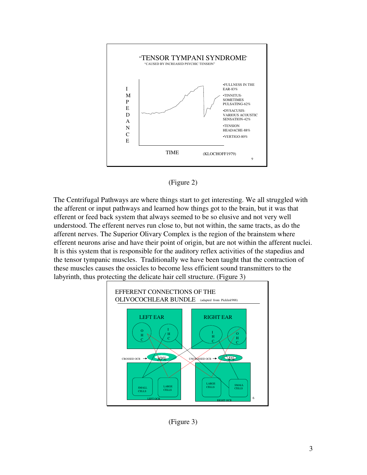



The Centrifugal Pathways are where things start to get interesting. We all struggled with the afferent or input pathways and learned how things got to the brain, but it was that efferent or feed back system that always seemed to be so elusive and not very well understood. The efferent nerves run close to, but not within, the same tracts, as do the afferent nerves. The Superior Olivary Complex is the region of the brainstem where efferent neurons arise and have their point of origin, but are not within the afferent nuclei. It is this system that is responsible for the auditory reflex activities of the stapedius and the tensor tympanic muscles. Traditionally we have been taught that the contraction of these muscles causes the ossicles to become less efficient sound transmitters to the labyrinth, thus protecting the delicate hair cell structure. (Figure 3)



(Figure 3)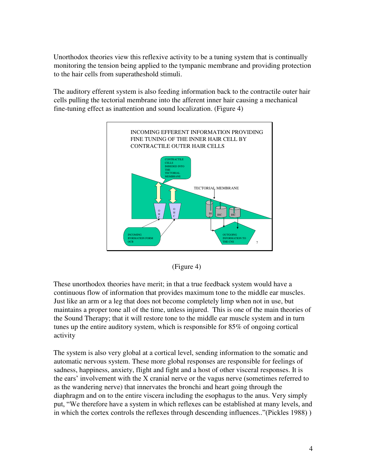Unorthodox theories view this reflexive activity to be a tuning system that is continually monitoring the tension being applied to the tympanic membrane and providing protection to the hair cells from superatheshold stimuli.

The auditory efferent system is also feeding information back to the contractile outer hair cells pulling the tectorial membrane into the afferent inner hair causing a mechanical fine-tuning effect as inattention and sound localization. (Figure 4)





These unorthodox theories have merit; in that a true feedback system would have a continuous flow of information that provides maximum tone to the middle ear muscles. Just like an arm or a leg that does not become completely limp when not in use, but maintains a proper tone all of the time, unless injured. This is one of the main theories of the Sound Therapy; that it will restore tone to the middle ear muscle system and in turn tunes up the entire auditory system, which is responsible for 85% of ongoing cortical activity

The system is also very global at a cortical level, sending information to the somatic and automatic nervous system. These more global responses are responsible for feelings of sadness, happiness, anxiety, flight and fight and a host of other visceral responses. It is the ears' involvement with the X cranial nerve or the vagus nerve (sometimes referred to as the wandering nerve) that innervates the bronchi and heart going through the diaphragm and on to the entire viscera including the esophagus to the anus. Very simply put, "We therefore have a system in which reflexes can be established at many levels, and in which the cortex controls the reflexes through descending influences.."(Pickles 1988) )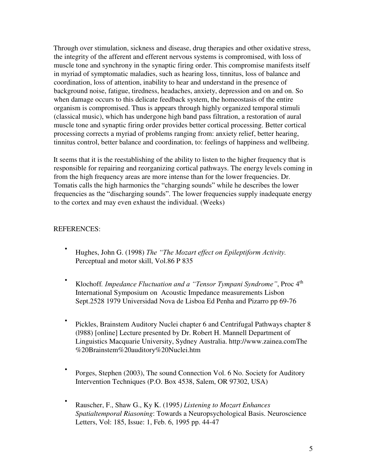Through over stimulation, sickness and disease, drug therapies and other oxidative stress, the integrity of the afferent and efferent nervous systems is compromised, with loss of muscle tone and synchrony in the synaptic firing order. This compromise manifests itself in myriad of symptomatic maladies, such as hearing loss, tinnitus, loss of balance and coordination, loss of attention, inability to hear and understand in the presence of background noise, fatigue, tiredness, headaches, anxiety, depression and on and on. So when damage occurs to this delicate feedback system, the homeostasis of the entire organism is compromised. Thus is appears through highly organized temporal stimuli (classical music), which has undergone high band pass filtration, a restoration of aural muscle tone and synaptic firing order provides better cortical processing. Better cortical processing corrects a myriad of problems ranging from: anxiety relief, better hearing, tinnitus control, better balance and coordination, to: feelings of happiness and wellbeing.

It seems that it is the reestablishing of the ability to listen to the higher frequency that is responsible for repairing and reorganizing cortical pathways. The energy levels coming in from the high frequency areas are more intense than for the lower frequencies. Dr. Tomatis calls the high harmonics the "charging sounds" while he describes the lower frequencies as the "discharging sounds". The lower frequencies supply inadequate energy to the cortex and may even exhaust the individual. (Weeks)

## REFERENCES:

- Hughes, John G. (1998) *The "The Mozart effect on Epileptiform Activity.* Perceptual and motor skill, Vol.86 P 835
- Klochoff*. Impedance Fluctuation and a "Tensor Tympani Syndrome"*, Proc 4th International Symposium on Acoustic Impedance measurements Lisbon Sept.2528 1979 Universidad Nova de Lisboa Ed Penha and Pizarro pp 69-76
- Pickles, Brainstem Auditory Nuclei chapter 6 and Centrifugal Pathways chapter 8 (l988) [online] Lecture presented by Dr. Robert H. Mannell Department of Linguistics Macquarie University, Sydney Australia. http://www.zainea.comThe %20Brainstem%20auditory%20Nuclei.htm
- Porges, Stephen (2003), The sound Connection Vol. 6 No. Society for Auditory Intervention Techniques (P.O. Box 4538, Salem, OR 97302, USA)
- Rauscher, F., Shaw G., Ky K. (1995*) Listening to Mozart Enhances Spatialtemporal Riasoning*: Towards a Neuropsychological Basis. Neuroscience Letters, Vol: 185, Issue: 1, Feb. 6, 1995 pp. 44-47